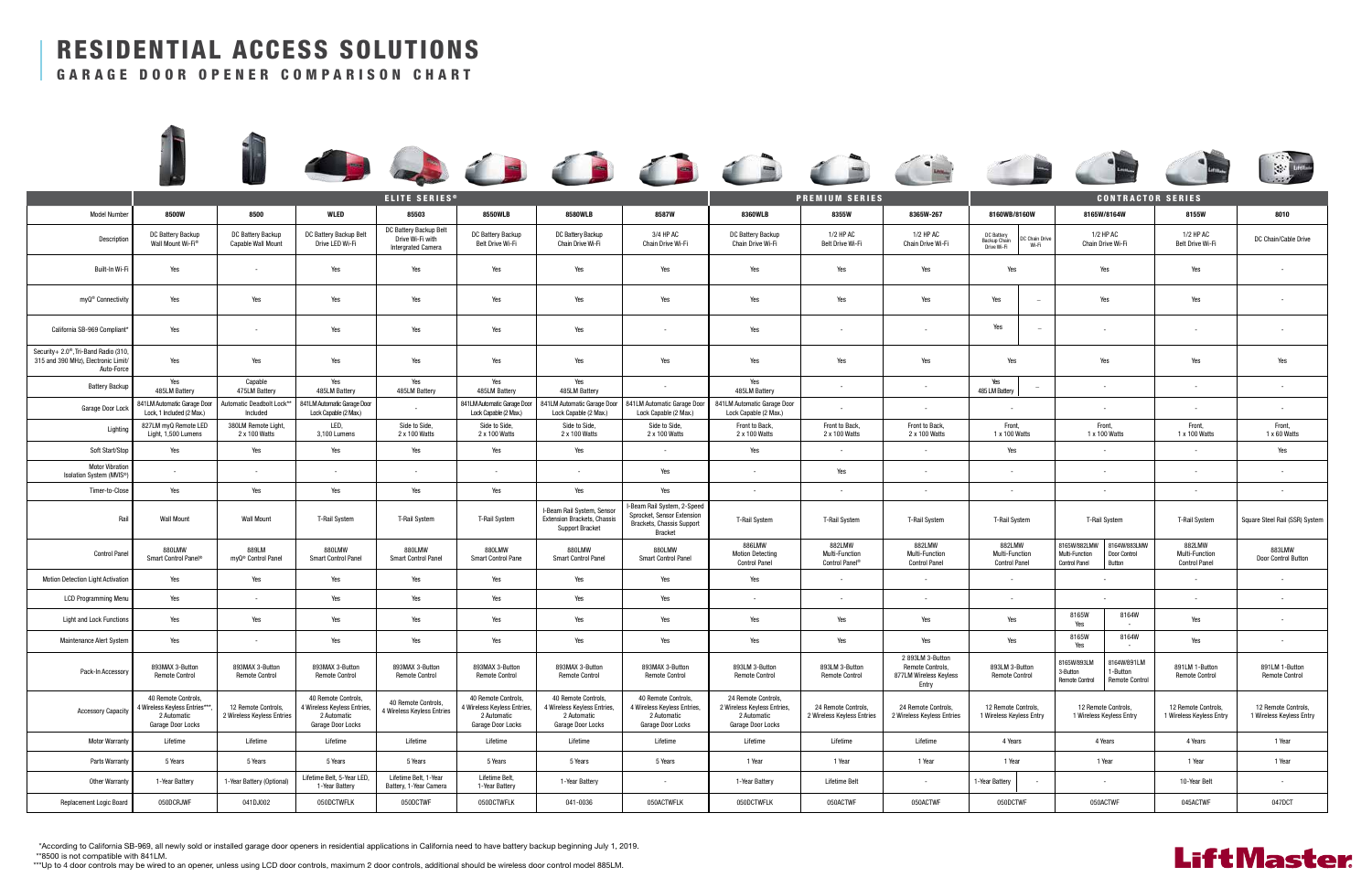According to California SB-969, all newly sold or installed garage door openers in residential applications in California need to have battery backup beginning July 1, 2019. \*

8500 is not compatible with 841LM. \*\*

\*\*\*Up to 4 door controls may be wired to an opener, unless using LCD door controls, maximum 2 door controls, additional should be wireless door control model 885LM.













|                                                                                                        | <b>ELITE SERIES®</b>                                                                     |                                                   |                                                                                        |                                                                         |                                                                                        | <b>PREMIUM SERIES</b>                                                                      |                                                                                                   |                                                                                        | <b>CONTRACTOR SERIES</b>                          |                                                                         |                                                  |                          |                                                        |                                                 |                                                  |                                                 |
|--------------------------------------------------------------------------------------------------------|------------------------------------------------------------------------------------------|---------------------------------------------------|----------------------------------------------------------------------------------------|-------------------------------------------------------------------------|----------------------------------------------------------------------------------------|--------------------------------------------------------------------------------------------|---------------------------------------------------------------------------------------------------|----------------------------------------------------------------------------------------|---------------------------------------------------|-------------------------------------------------------------------------|--------------------------------------------------|--------------------------|--------------------------------------------------------|-------------------------------------------------|--------------------------------------------------|-------------------------------------------------|
| <b>Model Number</b>                                                                                    | 8500W                                                                                    | 8500                                              | WLED                                                                                   | 85503                                                                   | <b>8550WLB</b>                                                                         | <b>8580WLB</b>                                                                             | <b>8587W</b>                                                                                      | <b>8360WLB</b>                                                                         | 8355W                                             | 8365W-267                                                               | 8160WB/8160W                                     |                          |                                                        | 8165W/8164W                                     | 8155W                                            | 8010                                            |
| Description                                                                                            | DC Battery Backup<br>Wall Mount Wi-Fi®                                                   | DC Battery Backup<br>Capable Wall Mount           | DC Battery Backup Belt<br>Drive LED Wi-Fi                                              | DC Battery Backup Belt<br>Drive Wi-Fi with<br><b>Intergrated Camera</b> | DC Battery Backup<br>Belt Drive Wi-Fi                                                  | DC Battery Backup<br>Chain Drive Wi-Fi                                                     | 3/4 HP AC<br>Chain Drive Wi-Fi                                                                    | DC Battery Backup<br>Chain Drive Wi-Fi                                                 | 1/2 HP AC<br>Belt Drive Wi-Fi                     | 1/2 HP AC<br>Chain Drive Wi-Fi                                          | DC Battery<br>Backup Chain<br>Drive Wi-Fi        | DC Chain Drive<br>Wi-Fi  |                                                        | 1/2 HP AC<br>Chain Drive Wi-Fi                  | 1/2 HP AC<br>Belt Drive Wi-Fi                    | DC Chain/Cable Drive                            |
| Built-In Wi-Fi                                                                                         | Yes                                                                                      | $\sim$                                            | Yes                                                                                    | Yes                                                                     | Yes                                                                                    | Yes                                                                                        | Yes                                                                                               | Yes                                                                                    | Yes                                               | Yes                                                                     | Yes                                              |                          |                                                        | Yes                                             | Yes                                              | $\sim$                                          |
| myQ <sup>®</sup> Connectivity                                                                          | Yes                                                                                      | Yes                                               | Yes                                                                                    | Yes                                                                     | Yes                                                                                    | Yes                                                                                        | Yes                                                                                               | Yes                                                                                    | Yes                                               | Yes                                                                     | Yes                                              | $\overline{\phantom{a}}$ |                                                        | Yes                                             | Yes                                              | $\sim$                                          |
| California SB-969 Compliant*                                                                           | Yes                                                                                      | $\sim$                                            | Yes                                                                                    | Yes                                                                     | Yes                                                                                    | Yes                                                                                        | $\sim$                                                                                            | Yes                                                                                    | $\sim$                                            | $\sim$                                                                  | Yes                                              | $\overline{\phantom{a}}$ |                                                        | $\sim$                                          | $\sim$                                           | $\sim$                                          |
| Security+ 2.0 <sup>®</sup> , Tri-Band Radio (310)<br>315 and 390 MHz), Electronic Limit/<br>Auto-Force | Yes                                                                                      | Yes                                               | Yes                                                                                    | Yes                                                                     | Yes                                                                                    | Yes                                                                                        | Yes                                                                                               | Yes                                                                                    | Yes                                               | Yes                                                                     | Yes                                              |                          |                                                        | Yes                                             | Yes                                              | Yes                                             |
| <b>Battery Backup</b>                                                                                  | Yes<br>485LM Battery                                                                     | Capable<br>475LM Battery                          | Yes<br>485LM Battery                                                                   | Yes<br>485LM Battery                                                    | Yes<br>485LM Battery                                                                   | Yes<br>485LM Battery                                                                       | $\sim$                                                                                            | Yes<br>485LM Battery                                                                   | $\sim$                                            | $\sim$                                                                  | Yes<br>485 LM Battery                            | $\overline{\phantom{a}}$ |                                                        | $\sim$                                          | $\sim$                                           | $\sim$                                          |
| Garage Door Lock                                                                                       | 841LM Automatic Garage Door  <br>Lock, 1 Included (2 Max.)                               | Automatic Deadbolt Lock**<br>Included             | 841LM Automatic Garage Door<br>Lock Capable (2 Max.)                                   | $\sim$                                                                  | Lock Capable (2 Max.)                                                                  | 841LM Automatic Garage Door   841LM Automatic Garage Door<br>Lock Capable (2 Max.)         | 841LM Automatic Garage Door<br>Lock Capable (2 Max.)                                              | 841LM Automatic Garage Door<br>Lock Capable (2 Max.)                                   | $\sim$                                            | $\sim$                                                                  | $\sim$                                           |                          |                                                        | $\sim$                                          | $\sim$                                           | $\sim$                                          |
| Lighting                                                                                               | 827LM myQ Remote LED<br>Light, 1,500 Lumens                                              | 380LM Remote Light,<br>2 x 100 Watts              | LED,<br>3,100 Lumens                                                                   | Side to Side,<br>2 x 100 Watts                                          | Side to Side,<br>2 x 100 Watts                                                         | Side to Side,<br>2 x 100 Watts                                                             | Side to Side,<br>2 x 100 Watts                                                                    | Front to Back,<br>2 x 100 Watts                                                        | Front to Back,<br>2 x 100 Watts                   | Front to Back,<br>2 x 100 Watts                                         | Front,<br>1 x 100 Watts                          |                          | 1 x 100 Watts                                          | Front,                                          | Front,<br>1 x 100 Watts                          | Front,<br>1 x 60 Watts                          |
| Soft Start/Stop                                                                                        | Yes                                                                                      | Yes                                               | Yes                                                                                    | Yes                                                                     | Yes                                                                                    | Yes                                                                                        | $\sim$                                                                                            | Yes                                                                                    | $\sim$                                            | $\sim$                                                                  | Yes                                              |                          |                                                        | $\sim$                                          | $\sim$                                           | Yes                                             |
| <b>Motor Vibration</b><br>Isolation System (MVIS <sup>®</sup> )                                        | $\sim$                                                                                   | $\sim$                                            |                                                                                        | $\sim$                                                                  | $\sim$                                                                                 | $\sim$                                                                                     | Yes                                                                                               | $\sim$                                                                                 | Yes                                               | $\sim$                                                                  |                                                  |                          |                                                        | $\sim$                                          |                                                  | $\sim$                                          |
| Timer-to-Close                                                                                         | Yes                                                                                      | Yes                                               | Yes                                                                                    | Yes                                                                     | Yes                                                                                    | Yes                                                                                        | Yes                                                                                               | $\sim$                                                                                 |                                                   | $\sim$                                                                  |                                                  |                          |                                                        | $\sim$                                          | $\sim$                                           | $\sim$                                          |
| Rail                                                                                                   | <b>Wall Mount</b>                                                                        | <b>Wall Mount</b>                                 | <b>T-Rail System</b>                                                                   | <b>T-Rail System</b>                                                    | T-Rail System                                                                          | I-Beam Rail System, Sensor<br><b>Extension Brackets, Chassis</b><br><b>Support Bracket</b> | I-Beam Rail System, 2-Speed<br>Sprocket, Sensor Extension<br>Brackets, Chassis Support<br>Bracket | T-Rail System                                                                          | <b>T-Rail System</b>                              | <b>T-Rail System</b>                                                    | <b>T-Rail System</b>                             |                          |                                                        | T-Rail System                                   | <b>T-Rail System</b>                             | Square Steel Rail (SSR) System                  |
| <b>Control Panel</b>                                                                                   | <b>880LMW</b><br>Smart Control Panel®                                                    | 889LM<br>myQ <sup>®</sup> Control Panel           | 880LMW<br>Smart Control Panel                                                          | 880LMW<br><b>Smart Control Panel</b>                                    | 880LMW<br>Smart Control Pane                                                           | 880LMW<br><b>Smart Control Panel</b>                                                       | 880LMW<br><b>Smart Control Panel</b>                                                              | 886LMW<br><b>Motion Detecting</b><br><b>Control Panel</b>                              | 882LMW<br>Multi-Function<br>Control Panel®        | 882LMW<br>Multi-Function<br><b>Control Panel</b>                        | 882LMW<br>Multi-Function<br><b>Control Panel</b> |                          | 8165W/882LMW<br>Multi-Function<br><b>Control Panel</b> | 8164W/883LMW<br>Door Control<br>Button          | 882LMW<br>Multi-Function<br><b>Control Panel</b> | 883LMW<br>Door Control Button                   |
| <b>Motion Detection Light Activation</b>                                                               | Yes                                                                                      | Yes                                               | Yes                                                                                    | Yes                                                                     | Yes                                                                                    | Yes                                                                                        | Yes                                                                                               | Yes                                                                                    | $\sim$                                            | $\sim$                                                                  | $\sim$                                           |                          |                                                        | $\sim$                                          | $\sim$                                           | $\sim$                                          |
| <b>LCD Programming Menu</b>                                                                            | Yes                                                                                      | $\sim$                                            | Yes                                                                                    | Yes                                                                     | Yes                                                                                    | Yes                                                                                        | Yes                                                                                               |                                                                                        |                                                   | $\overline{\phantom{a}}$                                                | $\sim$                                           |                          |                                                        |                                                 | $\sim$                                           | $\sim$                                          |
| Light and Lock Functions                                                                               | Yes                                                                                      | Yes                                               | Yes                                                                                    | Yes                                                                     | Yes                                                                                    | Yes                                                                                        | Yes                                                                                               | Yes                                                                                    | Yes                                               | Yes                                                                     | Yes                                              |                          | 8165W<br>Yes                                           | 8164W                                           | Yes                                              | $\sim$                                          |
| <b>Maintenance Alert System</b>                                                                        | Yes                                                                                      | $\sim$                                            | Yes                                                                                    | Yes                                                                     | Yes                                                                                    | Yes                                                                                        | Yes                                                                                               | Yes                                                                                    | Yes                                               | Yes                                                                     | Yes                                              |                          | 8165W<br>Yes                                           | 8164W<br>$\sim$                                 | Yes                                              | $\sim$                                          |
| Pack-In Accessory                                                                                      | 893MAX 3-Button<br>Remote Control                                                        | 893MAX 3-Button<br>Remote Control                 | 893MAX 3-Button<br><b>Remote Control</b>                                               | 893MAX 3-Button<br><b>Remote Control</b>                                | 893MAX 3-Button<br><b>Remote Control</b>                                               | 893MAX 3-Button<br><b>Remote Control</b>                                                   | 893MAX 3-Button<br><b>Remote Control</b>                                                          | 893LM 3-Button<br><b>Remote Control</b>                                                | 893LM 3-Button<br><b>Remote Control</b>           | 2 893LM 3-Button<br>Remote Controls,<br>877LM Wireless Keyless<br>Entry | 893LM 3-Button<br><b>Remote Control</b>          |                          | 8165W/893LM<br>3-Button<br>Remote Control              | 3164W/891LM<br>1-Button<br>Remote Control       | 891LM 1-Button<br><b>Remote Control</b>          | 891LM 1-Button<br><b>Remote Control</b>         |
| <b>Accessory Capacity</b>                                                                              | 40 Remote Controls,<br>4 Wireless Keyless Entries***<br>2 Automatic<br>Garage Door Locks | 12 Remote Controls,<br>2 Wireless Keyless Entries | 40 Remote Controls,<br>4 Wireless Keyless Entries,<br>2 Automatic<br>Garage Door Locks | 40 Remote Controls,<br>4 Wireless Keyless Entries                       | 40 Remote Controls,<br>4 Wireless Keyless Entries,<br>2 Automatic<br>Garage Door Locks | 40 Remote Controls,<br>4 Wireless Keyless Entries,<br>2 Automatic<br>Garage Door Locks     | 40 Remote Controls,<br>4 Wireless Keyless Entries,<br>2 Automatic<br>Garage Door Locks            | 24 Remote Controls,<br>2 Wireless Keyless Entries,<br>2 Automatic<br>Garage Door Locks | 24 Remote Controls,<br>2 Wireless Keyless Entries | 24 Remote Controls,<br>2 Wireless Keyless Entries                       | 12 Remote Controls,<br>1 Wireless Keyless Entry  |                          |                                                        | 12 Remote Controls,<br>1 Wireless Keyless Entry | 12 Remote Controls,<br>1 Wireless Keyless Entry  | 12 Remote Controls,<br>1 Wireless Keyless Entry |
| <b>Motor Warranty</b>                                                                                  | Lifetime                                                                                 | Lifetime                                          | Lifetime                                                                               | Lifetime                                                                | Lifetime                                                                               | Lifetime                                                                                   | Lifetime                                                                                          | Lifetime                                                                               | Lifetime                                          | Lifetime                                                                | 4 Years                                          |                          |                                                        | 4 Years                                         | 4 Years                                          | 1 Year                                          |
| Parts Warranty                                                                                         | 5 Years                                                                                  | 5 Years                                           | 5 Years                                                                                | 5 Years                                                                 | 5 Years                                                                                | 5 Years                                                                                    | 5 Years                                                                                           | 1 Year                                                                                 | 1 Year                                            | 1 Year                                                                  | 1 Year                                           |                          | 1 Year                                                 |                                                 | 1 Year                                           | 1 Year                                          |
| <b>Other Warranty</b>                                                                                  | 1-Year Battery                                                                           | 1-Year Battery (Optional)                         | Lifetime Belt, 5-Year LED,<br>1-Year Battery                                           | Lifetime Belt, 1-Year<br>Battery, 1-Year Camera                         | Lifetime Belt,<br>1-Year Battery                                                       | 1-Year Battery                                                                             | $\sim$                                                                                            | 1-Year Battery                                                                         | Lifetime Belt                                     | $\overline{\phantom{a}}$                                                | 1-Year Battery                                   |                          |                                                        | $\sim$                                          | 10-Year Belt                                     | $\sim$                                          |
| Replacement Logic Board                                                                                | 050DCRJWF                                                                                | 041DJ002                                          | 050DCTWFLK                                                                             | 050DCTWF                                                                | 050DCTWFLK                                                                             | 041-0036                                                                                   | 050ACTWFLK                                                                                        | 050DCTWFLK                                                                             | 050ACTWF                                          | 050ACTWF                                                                | 050DCTWF                                         |                          | 050ACTWF                                               |                                                 | 045ACTWF                                         | 047DCT                                          |

## RESIDENTIAL ACCESS SOLUTIONS

GARAGE DOOR OPENER COMPARISON CHART